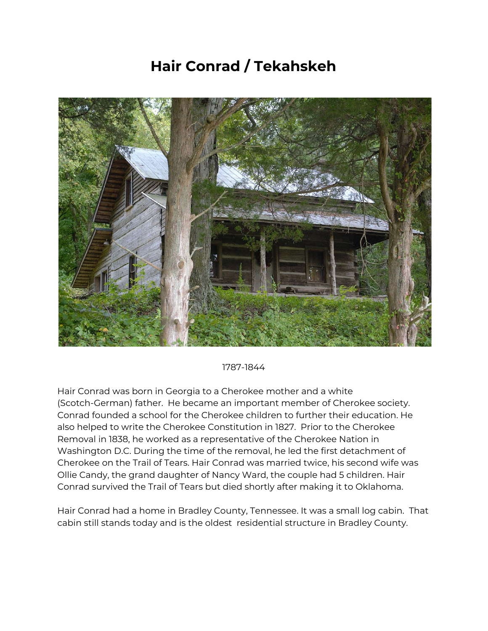## **Hair Conrad / Tekahskeh**



1787-1844

Hair Conrad was born in Georgia to a Cherokee mother and a white (Scotch-German) father. He became an important member of Cherokee society. Conrad founded a school for the Cherokee children to further their education. He also helped to write the Cherokee Constitution in 1827. Prior to the Cherokee Removal in 1838, he worked as a representative of the Cherokee Nation in Washington D.C. During the time of the removal, he led the first detachment of Cherokee on the Trail of Tears. Hair Conrad was married twice, his second wife was Ollie Candy, the grand daughter of Nancy Ward, the couple had 5 children. Hair Conrad survived the Trail of Tears but died shortly after making it to Oklahoma.

Hair Conrad had a home in Bradley County, Tennessee. It was a small log cabin. That cabin still stands today and is the oldest residential structure in Bradley County.